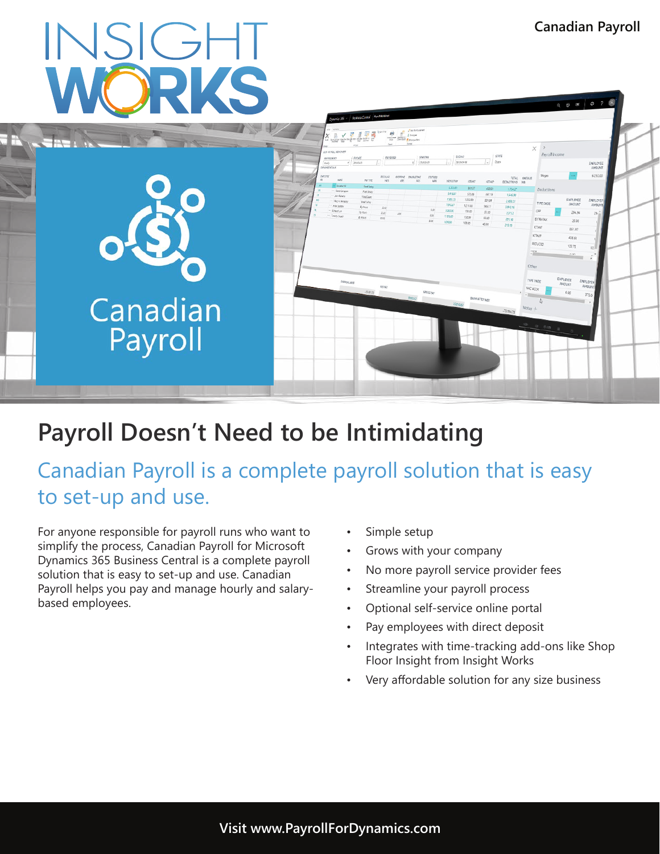# **INSIGHT**



# **Payroll Doesn't Need to be Intimidating**

Canadian Payroll is a complete payroll solution that is easy to set-up and use.

For anyone responsible for payroll runs who want to simplify the process, Canadian Payroll for Microsoft Dynamics 365 Business Central is a complete payroll solution that is easy to set-up and use. Canadian Payroll helps you pay and manage hourly and salarybased employees.

- Simple setup
- Grows with your company
- No more payroll service provider fees
- Streamline your payroll process
- Optional self-service online portal
- Pay employees with direct deposit
- Integrates with time-tracking add-ons like Shop Floor Insight from Insight Works
- Very affordable solution for any size business